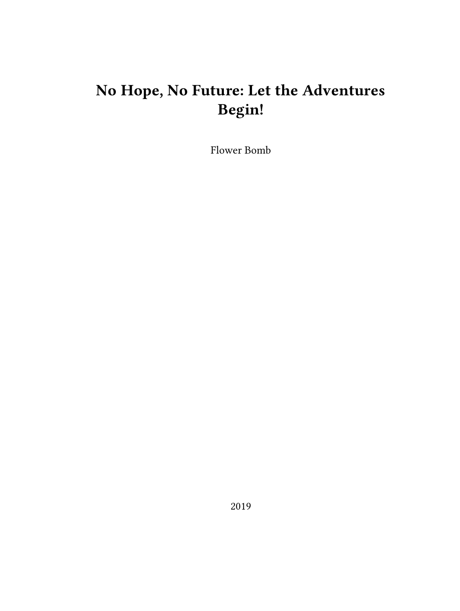## **No Hope, No Future: Let the Adventures Begin!**

Flower Bomb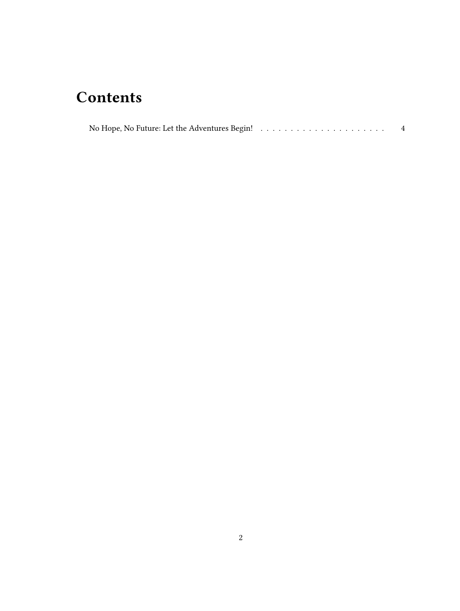## **Contents**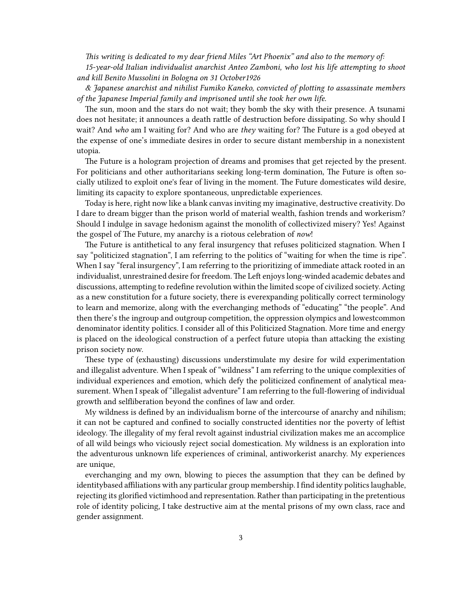*This writing is dedicated to my dear friend Miles "Art Phoenix" and also to the memory of: 15-year-old Italian individualist anarchist Anteo Zamboni, who lost his life attempting to shoot and kill Benito Mussolini in Bologna on 31 October1926*

*& Japanese anarchist and nihilist Fumiko Kaneko, convicted of plotting to assassinate members of the Japanese Imperial family and imprisoned until she took her own life.*

The sun, moon and the stars do not wait; they bomb the sky with their presence. A tsunami does not hesitate; it announces a death rattle of destruction before dissipating. So why should I wait? And *who* am I waiting for? And who are *they* waiting for? The Future is a god obeyed at the expense of one's immediate desires in order to secure distant membership in a nonexistent utopia.

The Future is a hologram projection of dreams and promises that get rejected by the present. For politicians and other authoritarians seeking long-term domination, The Future is often socially utilized to exploit one's fear of living in the moment. The Future domesticates wild desire, limiting its capacity to explore spontaneous, unpredictable experiences.

Today is here, right now like a blank canvas inviting my imaginative, destructive creativity. Do I dare to dream bigger than the prison world of material wealth, fashion trends and workerism? Should I indulge in savage hedonism against the monolith of collectivized misery? Yes! Against the gospel of The Future, my anarchy is a riotous celebration of *now*!

The Future is antithetical to any feral insurgency that refuses politicized stagnation. When I say "politicized stagnation", I am referring to the politics of "waiting for when the time is ripe". When I say "feral insurgency", I am referring to the prioritizing of immediate attack rooted in an individualist, unrestrained desire for freedom. The Left enjoys long-winded academic debates and discussions, attempting to redefine revolution within the limited scope of civilized society. Acting as a new constitution for a future society, there is everexpanding politically correct terminology to learn and memorize, along with the everchanging methods of "educating" "the people". And then there's the ingroup and outgroup competition, the oppression olympics and lowestcommon denominator identity politics. I consider all of this Politicized Stagnation. More time and energy is placed on the ideological construction of a perfect future utopia than attacking the existing prison society now.

These type of (exhausting) discussions understimulate my desire for wild experimentation and illegalist adventure. When I speak of "wildness" I am referring to the unique complexities of individual experiences and emotion, which defy the politicized confinement of analytical measurement. When I speak of "illegalist adventure" I am referring to the full-flowering of individual growth and selfliberation beyond the confines of law and order.

My wildness is defined by an individualism borne of the intercourse of anarchy and nihilism; it can not be captured and confined to socially constructed identities nor the poverty of leftist ideology. The illegality of my feral revolt against industrial civilization makes me an accomplice of all wild beings who viciously reject social domestication. My wildness is an exploration into the adventurous unknown life experiences of criminal, antiworkerist anarchy. My experiences are unique,

everchanging and my own, blowing to pieces the assumption that they can be defined by identitybased affiliations with any particular group membership. I find identity politics laughable, rejecting its glorified victimhood and representation. Rather than participating in the pretentious role of identity policing, I take destructive aim at the mental prisons of my own class, race and gender assignment.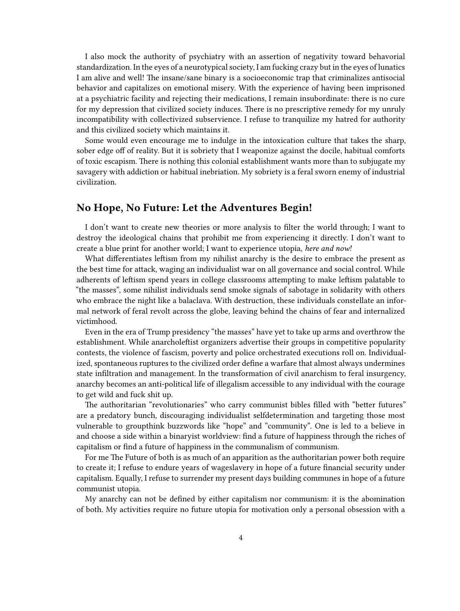I also mock the authority of psychiatry with an assertion of negativity toward behavorial standardization. In the eyes of a neurotypical society, I am fucking crazy but in the eyes of lunatics I am alive and well! The insane/sane binary is a socioeconomic trap that criminalizes antisocial behavior and capitalizes on emotional misery. With the experience of having been imprisoned at a psychiatric facility and rejecting their medications, I remain insubordinate: there is no cure for my depression that civilized society induces. There is no prescriptive remedy for my unruly incompatibility with collectivized subservience. I refuse to tranquilize my hatred for authority and this civilized society which maintains it.

Some would even encourage me to indulge in the intoxication culture that takes the sharp, sober edge off of reality. But it is sobriety that I weaponize against the docile, habitual comforts of toxic escapism. There is nothing this colonial establishment wants more than to subjugate my savagery with addiction or habitual inebriation. My sobriety is a feral sworn enemy of industrial civilization.

## <span id="page-3-0"></span>**No Hope, No Future: Let the Adventures Begin!**

I don't want to create new theories or more analysis to filter the world through; I want to destroy the ideological chains that prohibit me from experiencing it directly. I don't want to create a blue print for another world; I want to experience utopia, *here and now!*

What differentiates leftism from my nihilist anarchy is the desire to embrace the present as the best time for attack, waging an individualist war on all governance and social control. While adherents of leftism spend years in college classrooms attempting to make leftism palatable to "the masses", some nihilist individuals send smoke signals of sabotage in solidarity with others who embrace the night like a balaclava. With destruction, these individuals constellate an informal network of feral revolt across the globe, leaving behind the chains of fear and internalized victimhood.

Even in the era of Trump presidency "the masses" have yet to take up arms and overthrow the establishment. While anarcholeftist organizers advertise their groups in competitive popularity contests, the violence of fascism, poverty and police orchestrated executions roll on. Individualized, spontaneous ruptures to the civilized order define a warfare that almost always undermines state infiltration and management. In the transformation of civil anarchism to feral insurgency, anarchy becomes an anti-political life of illegalism accessible to any individual with the courage to get wild and fuck shit up.

The authoritarian "revolutionaries" who carry communist bibles filled with "better futures" are a predatory bunch, discouraging individualist selfdetermination and targeting those most vulnerable to groupthink buzzwords like "hope" and "community". One is led to a believe in and choose a side within a binaryist worldview: find a future of happiness through the riches of capitalism or find a future of happiness in the communalism of communism.

For me The Future of both is as much of an apparition as the authoritarian power both require to create it; I refuse to endure years of wageslavery in hope of a future financial security under capitalism. Equally, I refuse to surrender my present days building communes in hope of a future communist utopia.

My anarchy can not be defined by either capitalism nor communism: it is the abomination of both. My activities require no future utopia for motivation only a personal obsession with a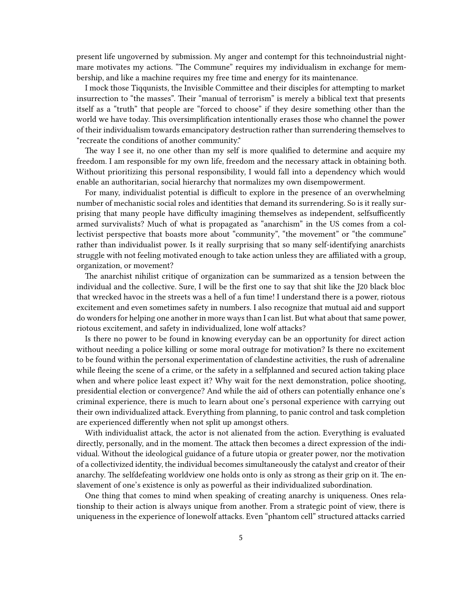present life ungoverned by submission. My anger and contempt for this technoindustrial nightmare motivates my actions. "The Commune" requires my individualism in exchange for membership, and like a machine requires my free time and energy for its maintenance.

I mock those Tiqqunists, the Invisible Committee and their disciples for attempting to market insurrection to "the masses". Their "manual of terrorism" is merely a biblical text that presents itself as a "truth" that people are "forced to choose" if they desire something other than the world we have today. This oversimplification intentionally erases those who channel the power of their individualism towards emancipatory destruction rather than surrendering themselves to "recreate the conditions of another community."

The way I see it, no one other than my self is more qualified to determine and acquire my freedom. I am responsible for my own life, freedom and the necessary attack in obtaining both. Without prioritizing this personal responsibility, I would fall into a dependency which would enable an authoritarian, social hierarchy that normalizes my own disempowerment.

For many, individualist potential is difficult to explore in the presence of an overwhelming number of mechanistic social roles and identities that demand its surrendering. So is it really surprising that many people have difficulty imagining themselves as independent, selfsufficently armed survivalists? Much of what is propagated as "anarchism" in the US comes from a collectivist perspective that boasts more about "community", "the movement" or "the commune" rather than individualist power. Is it really surprising that so many self-identifying anarchists struggle with not feeling motivated enough to take action unless they are affiliated with a group, organization, or movement?

The anarchist nihilist critique of organization can be summarized as a tension between the individual and the collective. Sure, I will be the first one to say that shit like the J20 black bloc that wrecked havoc in the streets was a hell of a fun time! I understand there is a power, riotous excitement and even sometimes safety in numbers. I also recognize that mutual aid and support do wonders for helping one another in more ways than I can list. But what about that same power, riotous excitement, and safety in individualized, lone wolf attacks?

Is there no power to be found in knowing everyday can be an opportunity for direct action without needing a police killing or some moral outrage for motivation? Is there no excitement to be found within the personal experimentation of clandestine activities, the rush of adrenaline while fleeing the scene of a crime, or the safety in a selfplanned and secured action taking place when and where police least expect it? Why wait for the next demonstration, police shooting, presidential election or convergence? And while the aid of others can potentially enhance one's criminal experience, there is much to learn about one's personal experience with carrying out their own individualized attack. Everything from planning, to panic control and task completion are experienced differently when not split up amongst others.

With individualist attack, the actor is not alienated from the action. Everything is evaluated directly, personally, and in the moment. The attack then becomes a direct expression of the individual. Without the ideological guidance of a future utopia or greater power, nor the motivation of a collectivized identity, the individual becomes simultaneously the catalyst and creator of their anarchy. The selfdefeating worldview one holds onto is only as strong as their grip on it. The enslavement of one's existence is only as powerful as their individualized subordination.

One thing that comes to mind when speaking of creating anarchy is uniqueness. Ones relationship to their action is always unique from another. From a strategic point of view, there is uniqueness in the experience of lonewolf attacks. Even "phantom cell" structured attacks carried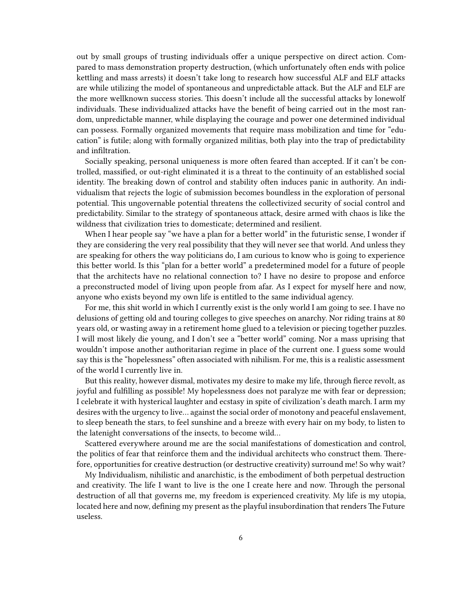out by small groups of trusting individuals offer a unique perspective on direct action. Compared to mass demonstration property destruction, (which unfortunately often ends with police kettling and mass arrests) it doesn't take long to research how successful ALF and ELF attacks are while utilizing the model of spontaneous and unpredictable attack. But the ALF and ELF are the more wellknown success stories. This doesn't include all the successful attacks by lonewolf individuals. These individualized attacks have the benefit of being carried out in the most random, unpredictable manner, while displaying the courage and power one determined individual can possess. Formally organized movements that require mass mobilization and time for "education" is futile; along with formally organized militias, both play into the trap of predictability and infiltration.

Socially speaking, personal uniqueness is more often feared than accepted. If it can't be controlled, massified, or out-right eliminated it is a threat to the continuity of an established social identity. The breaking down of control and stability often induces panic in authority. An individualism that rejects the logic of submission becomes boundless in the exploration of personal potential. This ungovernable potential threatens the collectivized security of social control and predictability. Similar to the strategy of spontaneous attack, desire armed with chaos is like the wildness that civilization tries to domesticate; determined and resilient.

When I hear people say "we have a plan for a better world" in the futuristic sense, I wonder if they are considering the very real possibility that they will never see that world. And unless they are speaking for others the way politicians do, I am curious to know who is going to experience this better world. Is this "plan for a better world" a predetermined model for a future of people that the architects have no relational connection to? I have no desire to propose and enforce a preconstructed model of living upon people from afar. As I expect for myself here and now, anyone who exists beyond my own life is entitled to the same individual agency.

For me, this shit world in which I currently exist is the only world I am going to see. I have no delusions of getting old and touring colleges to give speeches on anarchy. Nor riding trains at 80 years old, or wasting away in a retirement home glued to a television or piecing together puzzles. I will most likely die young, and I don't see a "better world" coming. Nor a mass uprising that wouldn't impose another authoritarian regime in place of the current one. I guess some would say this is the "hopelessness" often associated with nihilism. For me, this is a realistic assessment of the world I currently live in.

But this reality, however dismal, motivates my desire to make my life, through fierce revolt, as joyful and fulfilling as possible! My hopelessness does not paralyze me with fear or depression; I celebrate it with hysterical laughter and ecstasy in spite of civilization's death march. I arm my desires with the urgency to live… against the social order of monotony and peaceful enslavement, to sleep beneath the stars, to feel sunshine and a breeze with every hair on my body, to listen to the latenight conversations of the insects, to become wild…

Scattered everywhere around me are the social manifestations of domestication and control, the politics of fear that reinforce them and the individual architects who construct them. Therefore, opportunities for creative destruction (or destructive creativity) surround me! So why wait?

My Individualism, nihilistic and anarchistic, is the embodiment of both perpetual destruction and creativity. The life I want to live is the one I create here and now. Through the personal destruction of all that governs me, my freedom is experienced creativity. My life is my utopia, located here and now, defining my present as the playful insubordination that renders The Future useless.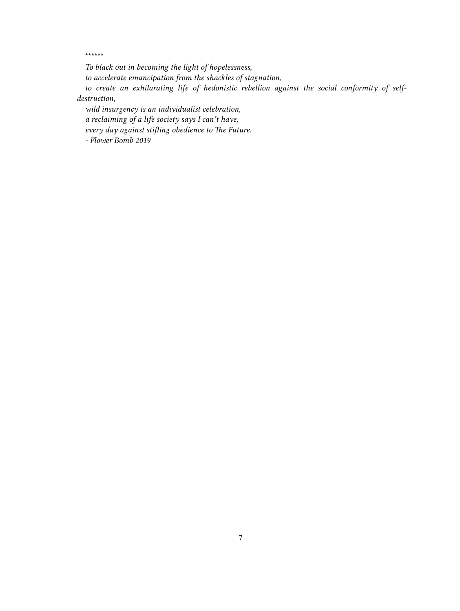\*\*\*\*\*\*

*To black out in becoming the light of hopelessness,*

*to accelerate emancipation from the shackles of stagnation,*

*to create an exhilarating life of hedonistic rebellion against the social conformity of selfdestruction,*

*wild insurgency is an individualist celebration,*

*a reclaiming of a life society says I can't have,*

*every day against stifling obedience to The Future.*

*- Flower Bomb 2019*